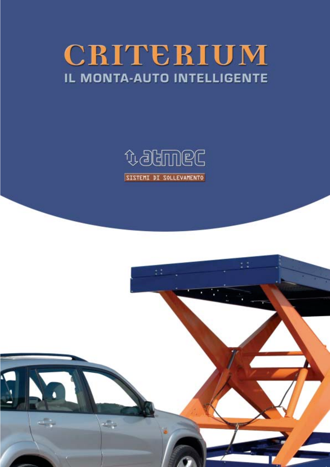# CRITERIUM IL MONTA-AUTO INTELLIGENTE



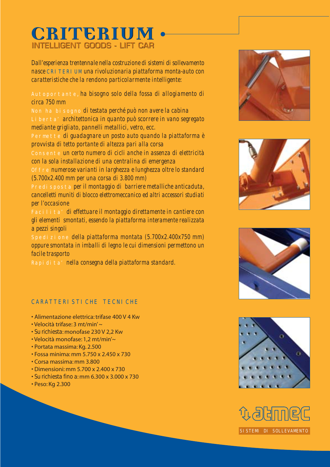## INTELLIGENT GOODS - LIFT CAR INTELLIGENT GOODS - LIFT CAR**CRITERIUM CRITERIUM**

*Dall'esperienza trentennale nella costruzione di sistemi di sollevamento nasce* CRITERIUM *una rivoluzionaria piattaforma monta-auto con caratteristiche che la rendono particolarmente intelligente:*

Autoportante*, ha bisogno solo della fossa di allogiamento di circa 750 mm*

Non ha bisogno *di testata perché può non avere la cabina* Liberta' *architettonica in quanto può scorrere in vano segregato mediante grigliato, pannelli metallici, vetro, ecc.*

Permette *di guadagnare un posto auto quando la piattaforma è provvista di tetto portante di altezza pari alla corsa*

Consente *un certo numero di cicli anche in assenza di elettricità con la sola installazione di una centralina di emergenza*

Offre *numerose varianti in larghezza e lunghezza oltre lo standard (5.700x2.400 mm per una corsa di 3.800 mm)*

Predisposta *per il montaggio di barriere metalliche anticaduta, cancelletti muniti di blocco elettromeccanico ed altri accessori studiati per l'occasione*

Facilita' *di effettuare il montaggio direttamente in cantiere con gli elementi smontati, essendo la piattaforma interamente realizzata a pezzi singoli*

Spedizione *della piattaforma montata (5.700x2.400x750 mm) oppure smontata in imballi di legno le cui dimensioni permettono un facile trasporto*

Rapidita' *nella consegna della piattaforma standard.*

#### CARATTERI STI CHE TECNI CHE

- Alimentazione elettrica: trifase 400 V 4 Kw
- Velocità trifase: 3 mt/min' ~
- *Su richiesta*: monofase 230 V 2,2 Kw
- Velocità monofase: 1,2 mt/min'~
- Portata massima: Kg. 2.500
- Fossa minima: mm 5.750 x 2.450 x 730
- Corsa massima: mm 3.800
- Dimensioni: mm 5.700 x 2.400 x 730
- *Su richiesta fino a*: mm 6.300 x 3.000 x 730
- Peso: Kg 2.300









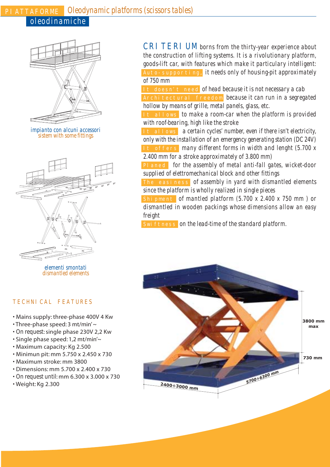### PIATTAFORME *Oleodynamic platforms (scissors tables)*

*oleodinamiche*



*impianto con alcuni accessori sistem with some fittings*



*elementi smontati dismantled elements*

#### TECHNICAL FEATURES

- Mains supply: three-phase 400V 4 Kw
- Three-phase speed: 3 mt/min' ~
- *On request*: single phase 230V 2,2 Kw
- Single phase speed: 1,2 mt/min'~
- Maximum capacity: Kg 2.500
- Minimun pit: mm 5.750 x 2.450 x 730
- Maximum stroke: mm 3800
- Dimensions: mm 5.700 x 2.400 x 730
- *On request until*: mm 6.300 x 3.000 x 730
- Weight: Kg 2.300

CRI TERIUM borns from the thirty-year experience about *the construction of lifting systems. It is a rivolutionary platform, goods-lift car, with features which make it particulary intelligent:* Auto-supporting*, it needs only of housing-pit approximately of 750 mm*

It doesn't need *of head because it is not necessary a cab* Architectural freedom *because it can run in a segregated hollow by means of grille, metal panels, glass, etc.*

It allows *to make a room-car when the platform is provided with roof-bearing, high like the stroke*

It allows *a certain cycles' number, even if there isn't electricity, only with the installation of an emergency generating station (DC 24V)* It offers *many different forms in width and lenght (5.700 x*

*2.400 mm for a stroke approximately of 3.800 mm)* Planed *for the assembly of metal anti-fall gates, wicket-door supplied of elettromechanical block and other fittings*

The easiness *of assembly in yard with dismantled elements since the platform is wholly realized in single pieces*

Shipment *of mantled platform (5.700 x 2.400 x 750 mm ) or dismantled in wooden packings whose dimensions allow an easy freight*

Swiftness on the lead-time of the standard platform.